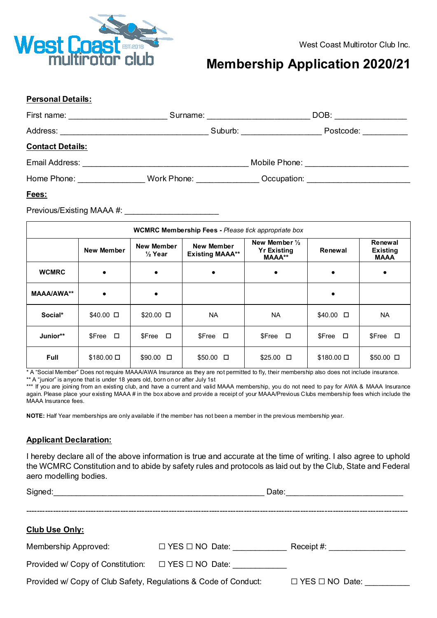

## **Membership Application 2020/21**

#### **Personal Details:**

| First name: <u>_______________</u> |                       | Surname: <u>_______________</u> |               | DOB:                              |  |
|------------------------------------|-----------------------|---------------------------------|---------------|-----------------------------------|--|
| Address:                           |                       | Suburb:                         |               | Postcode:                         |  |
| <b>Contact Details:</b>            |                       |                                 |               |                                   |  |
| Email Address:                     |                       |                                 | Mobile Phone: |                                   |  |
| Home Phone:                        | Work Phone: Work Show |                                 |               | Occupation: <u>______________</u> |  |
|                                    |                       |                                 |               |                                   |  |

#### **Fees:**

Previous/Existing MAAA #: \_

| <b>WCMRC Membership Fees - Please tick appropriate box</b> |                    |                                  |                                      |                                                                 |                     |                                           |  |  |
|------------------------------------------------------------|--------------------|----------------------------------|--------------------------------------|-----------------------------------------------------------------|---------------------|-------------------------------------------|--|--|
|                                                            | New Member         | New Member<br>$\frac{1}{2}$ Year | New Member<br><b>Existing MAAA**</b> | New Member $\frac{1}{2}$<br><b>Yr Existing</b><br><b>MAAA**</b> | Renewal             | Renewal<br><b>Existing</b><br><b>MAAA</b> |  |  |
| <b>WCMRC</b>                                               | $\bullet$          | $\bullet$                        | $\bullet$                            | $\bullet$                                                       | $\bullet$           |                                           |  |  |
| <b>MAAA/AWA**</b>                                          |                    |                                  |                                      |                                                                 | $\bullet$           |                                           |  |  |
| Social*                                                    | $$40.00$ $\square$ | $$20.00$ $\square$               | <b>NA</b>                            | <b>NA</b>                                                       | $$40.00$ $\square$  | <b>NA</b>                                 |  |  |
| Junior**                                                   | $SFree$ $\Box$     | $SFree$ $\Box$                   | \$Free □                             | \$Free □                                                        | $$Free$ $\square$   | \$Free □                                  |  |  |
| <b>Full</b>                                                | $$180.00 \square$  | $$90.00$ $\square$               | $$50.00$ $\square$                   | $$25.00$ $\square$                                              | $$180.00$ $\square$ | $$50.00$ $\square$                        |  |  |

\* A "Social Member" Does not require MAAA/AWA Insurance as they are not permitted to fly, their membership also does not include insurance. \*\* A "junior" is anyone that is under 18 years old, born on or after July 1st

\*\*\* If you are joining from an existing club, and have a current and valid MAAA membership, you do not need to pay for AWA & MAAA Insurance again. Please place your existing MAAA # in the box above and provide a receipt of your MAAA/Previous Clubs membership fees which include the MAAA Insurance fees.

**NOTE:** Half Year memberships are only available if the member has not been a member in the previous membership year.

#### **Applicant Declaration:**

I hereby declare all of the above information is true and accurate at the time of writing. I also agree to uphold the WCMRC Constitution and to abide by safety rules and protocols as laid out by the Club, State and Federal aero modelling bodies.

| Signed:<br><u> 1980 - John Stein, Amerikaansk politiker (</u> † 1920) | Date:                      |                            |  |
|-----------------------------------------------------------------------|----------------------------|----------------------------|--|
|                                                                       |                            |                            |  |
| <b>Club Use Only:</b>                                                 |                            |                            |  |
| Membership Approved:                                                  | $\Box$ YES $\Box$ NO Date: |                            |  |
| Provided w/ Copy of Constitution: $\Box$ YES $\Box$ NO Date:          |                            |                            |  |
| Provided w/ Copy of Club Safety, Regulations & Code of Conduct:       |                            | $\Box$ YES $\Box$ NO Date: |  |